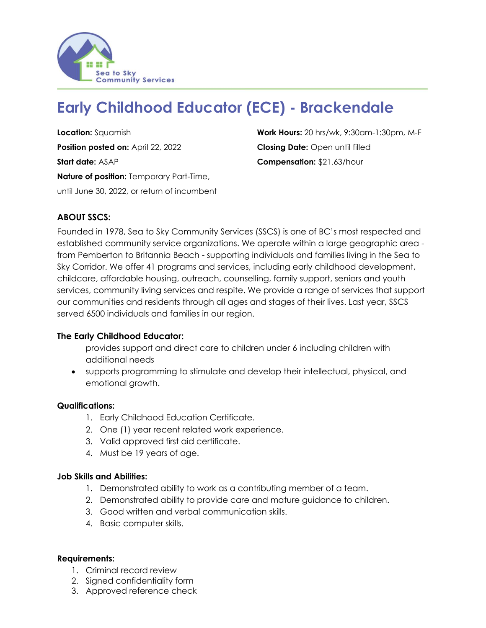

# **Early Childhood Educator (ECE) - Brackendale**

**Position posted on:** April 22, 2022 **Closing Date:** Open until filled **Start date:** ASAP **Compensation:** \$21.63/hour **Nature of position:** Temporary Part-Time, until June 30, 2022, or return of incumbent

**Location:** Squamish **Work Hours:** 20 hrs/wk, 9:30am-1:30pm, M-F

# **ABOUT SSCS:**

Founded in 1978, Sea to Sky Community Services (SSCS) is one of BC's most respected and established community service organizations. We operate within a large geographic area from Pemberton to Britannia Beach - supporting individuals and families living in the Sea to Sky Corridor. We offer 41 programs and services, including early childhood development, childcare, affordable housing, outreach, counselling, family support, seniors and youth services, community living services and respite. We provide a range of services that support our communities and residents through all ages and stages of their lives. Last year, SSCS served 6500 individuals and families in our region.

### **The Early Childhood Educator:**

provides support and direct care to children under 6 including children with additional needs

• supports programming to stimulate and develop their intellectual, physical, and emotional growth.

### **Qualifications:**

- 1. Early Childhood Education Certificate.
- 2. One (1) year recent related work experience.
- 3. Valid approved first aid certificate.
- 4. Must be 19 years of age.

#### **Job Skills and Abilities:**

- 1. Demonstrated ability to work as a contributing member of a team.
- 2. Demonstrated ability to provide care and mature guidance to children.
- 3. Good written and verbal communication skills.
- 4. Basic computer skills.

#### **Requirements:**

- 1. Criminal record review
- 2. Signed confidentiality form
- 3. Approved reference check